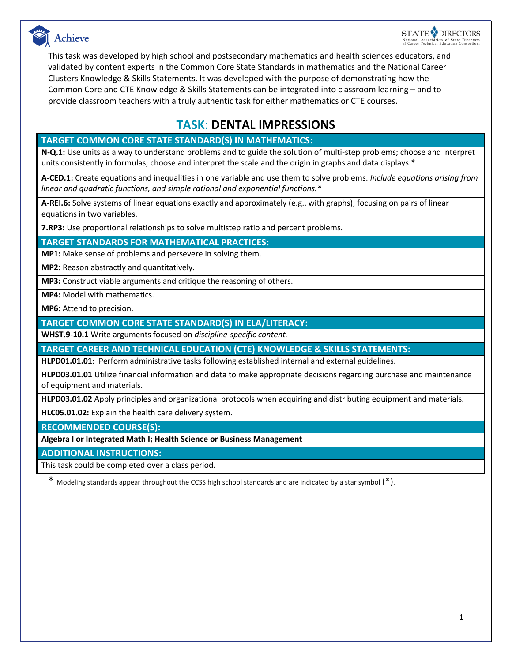



This task was developed by high school and postsecondary mathematics and health sciences educators, and validated by content experts in the Common Core State Standards in mathematics and the National Career Clusters Knowledge & Skills Statements. It was developed with the purpose of demonstrating how the Common Core and CTE Knowledge & Skills Statements can be integrated into classroom learning – and to provide classroom teachers with a truly authentic task for either mathematics or CTE courses.

# **TASK**: **DENTAL IMPRESSIONS**

## **TARGET COMMON CORE STATE STANDARD(S) IN MATHEMATICS:**

**N-Q.1:** Use units as a way to understand problems and to guide the solution of multi-step problems; choose and interpret units consistently in formulas; choose and interpret the scale and the origin in graphs and data displays.\*

**A-CED.1:** Create equations and inequalities in one variable and use them to solve problems. *Include equations arising from linear and quadratic functions, and simple rational and exponential functions.\**

**A-REI.6:** Solve systems of linear equations exactly and approximately (e.g., with graphs), focusing on pairs of linear equations in two variables.

**7.RP3:** Use proportional relationships to solve multistep ratio and percent problems.

**TARGET STANDARDS FOR MATHEMATICAL PRACTICES:**

**MP1:** Make sense of problems and persevere in solving them.

**MP2:** Reason abstractly and quantitatively.

**MP3:** Construct viable arguments and critique the reasoning of others.

**MP4:** Model with mathematics.

**MP6:** Attend to precision.

**TARGET COMMON CORE STATE STANDARD(S) IN ELA/LITERACY:** 

**WHST.9-10.1** Write arguments focused on *discipline-specific content.*

**TARGET CAREER AND TECHNICAL EDUCATION (CTE) KNOWLEDGE & SKILLS STATEMENTS:**

**HLPD01.01.01**: Perform administrative tasks following established internal and external guidelines.

**HLPD03.01.01** Utilize financial information and data to make appropriate decisions regarding purchase and maintenance of equipment and materials.

**HLPD03.01.02** Apply principles and organizational protocols when acquiring and distributing equipment and materials.

**HLC05.01.02:** Explain the health care delivery system.

**RECOMMENDED COURSE(S):**

**Algebra I or Integrated Math I; Health Science or Business Management**

**ADDITIONAL INSTRUCTIONS:**

This task could be completed over a class period.

\* Modeling standards appear throughout the CCSS high school standards and are indicated by a star symbol (\*).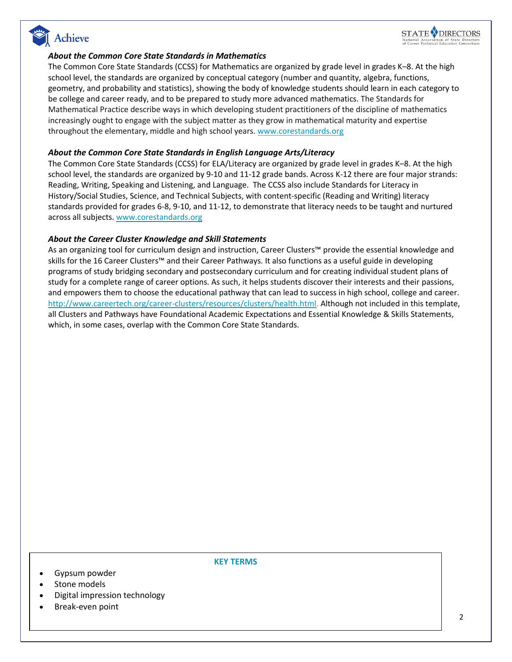



#### *About the Common Core State Standards in Mathematics*

The Common Core State Standards (CCSS) for Mathematics are organized by grade level in grades K–8. At the high school level, the standards are organized by conceptual category (number and quantity, algebra, functions, geometry, and probability and statistics), showing the body of knowledge students should learn in each category to be college and career ready, and to be prepared to study more advanced mathematics. The Standards for Mathematical Practice describe ways in which developing student practitioners of the discipline of mathematics increasingly ought to engage with the subject matter as they grow in mathematical maturity and expertise throughout the elementary, middle and high school years. [www.corestandards.org](http://www.corestandards.org/)

#### *About the Common Core State Standards in English Language Arts/Literacy*

The Common Core State Standards (CCSS) for ELA/Literacy are organized by grade level in grades K–8. At the high school level, the standards are organized by 9-10 and 11-12 grade bands. Across K-12 there are four major strands: Reading, Writing, Speaking and Listening, and Language. The CCSS also include Standards for Literacy in History/Social Studies, Science, and Technical Subjects, with content-specific (Reading and Writing) literacy standards provided for grades 6-8, 9-10, and 11-12, to demonstrate that literacy needs to be taught and nurtured across all subjects. [www.corestandards.org](http://www.corestandards.org/)

#### *About the Career Cluster Knowledge and Skill Statements*

As an organizing tool for curriculum design and instruction, Career Clusters™ provide the essential knowledge and skills for the 16 Career Clusters™ and their Career Pathways. It also functions as a useful guide in developing programs of study bridging secondary and postsecondary curriculum and for creating individual student plans of study for a complete range of career options. As such, it helps students discover their interests and their passions, and empowers them to choose the educational pathway that can lead to success in high school, college and career. [http://www.careertech.org/career-clusters/resources/clusters/health.html.](http://www.careertech.org/career-clusters/resources/clusters/health.html) Although not included in this template, all Clusters and Pathways have Foundational Academic Expectations and Essential Knowledge & Skills Statements, which, in some cases, overlap with the Common Core State Standards.

#### Gypsum powder

Stone models

- Digital impression technology
- Break-even point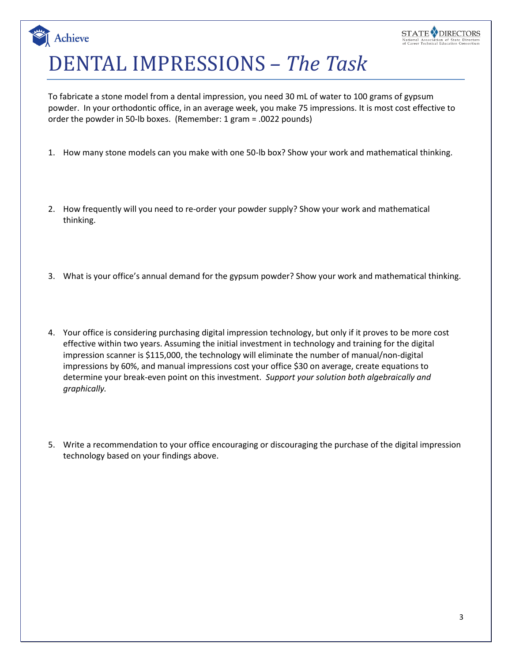# DENTAL IMPRESSIONS *– The Task*

**Achieve** 

To fabricate a stone model from a dental impression, you need 30 mL of water to 100 grams of gypsum powder. In your orthodontic office, in an average week, you make 75 impressions. It is most cost effective to order the powder in 50-lb boxes. (Remember: 1 gram = .0022 pounds)

- 1. How many stone models can you make with one 50-lb box? Show your work and mathematical thinking.
- 2. How frequently will you need to re-order your powder supply? Show your work and mathematical thinking.
- 3. What is your office's annual demand for the gypsum powder? Show your work and mathematical thinking.
- 4. Your office is considering purchasing digital impression technology, but only if it proves to be more cost effective within two years. Assuming the initial investment in technology and training for the digital impression scanner is \$115,000, the technology will eliminate the number of manual/non-digital impressions by 60%, and manual impressions cost your office \$30 on average, create equations to determine your break-even point on this investment. *Support your solution both algebraically and graphically.*
- 5. Write a recommendation to your office encouraging or discouraging the purchase of the digital impression technology based on your findings above.

**STATE ODIRECTORS**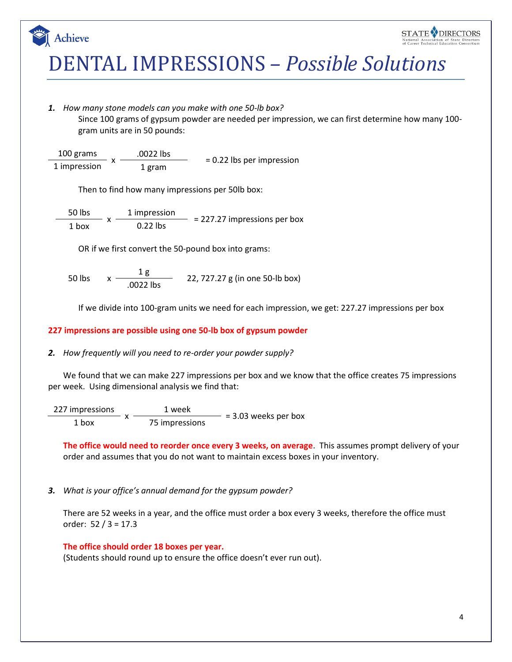



# DENTAL IMPRESSIONS *– Possible Solutions*

*1. How many stone models can you make with one 50-lb box?*

Since 100 grams of gypsum powder are needed per impression, we can first determine how many 100 gram units are in 50 pounds:

100 grams x  $.0022$  lbs  $= 0.22$  lbs per impression 1 impression

Then to find how many impressions per 50lb box:

50 lbs x 1 impression  $= 227.27$  impressions per box  $1$  box

OR if we first convert the 50-pound box into grams:

 $50$  lbs  $\frac{1 \text{ g}}{10022 \text{ lbs}}$  22, 727.27 g (in one 50-lb box)

If we divide into 100-gram units we need for each impression, we get: 227.27 impressions per box

#### **227 impressions are possible using one 50-lb box of gypsum powder**

#### *2. How frequently will you need to re-order your powder supply?*

We found that we can make 227 impressions per box and we know that the office creates 75 impressions per week. Using dimensional analysis we find that:

227 impressions  $-x \frac{1}{100}$  x  $\frac{1}{75}$  impressions  $\frac{1}{100}$  = 3.03 weeks per box

**The office would need to reorder once every 3 weeks, on average**. This assumes prompt delivery of your order and assumes that you do not want to maintain excess boxes in your inventory.

### *3. What is your office's annual demand for the gypsum powder?*

There are 52 weeks in a year, and the office must order a box every 3 weeks, therefore the office must order: 52 / 3 = 17.3

#### **The office should order 18 boxes per year.**

(Students should round up to ensure the office doesn't ever run out).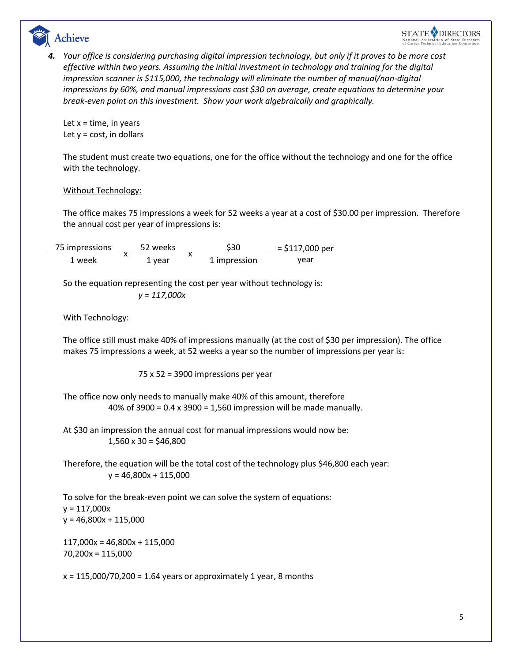

*4. Your office is considering purchasing digital impression technology, but only if it proves to be more cost effective within two years. Assuming the initial investment in technology and training for the digital impression scanner is \$115,000, the technology will eliminate the number of manual/non-digital impressions by 60%, and manual impressions cost \$30 on average, create equations to determine your break-even point on this investment. Show your work algebraically and graphically.*

Let  $x =$  time, in years Let  $y = \text{cost}$ , in dollars

The student must create two equations, one for the office without the technology and one for the office with the technology.

### Without Technology:

The office makes 75 impressions a week for 52 weeks a year at a cost of \$30.00 per impression. Therefore the annual cost per year of impressions is:

75 impressions x 52 weeks  $- x $30$  = \$117,000 per 1 week 1 year 1 impression year

So the equation representing the cost per year without technology is:

*y = 117,000x*

### With Technology:

The office still must make 40% of impressions manually (at the cost of \$30 per impression). The office makes 75 impressions a week, at 52 weeks a year so the number of impressions per year is:

75 x 52 = 3900 impressions per year

The office now only needs to manually make 40% of this amount, therefore 40% of 3900 = 0.4 x 3900 = 1,560 impression will be made manually.

At \$30 an impression the annual cost for manual impressions would now be:  $1,560 \times 30 = $46,800$ 

Therefore, the equation will be the total cost of the technology plus \$46,800 each year:  $y = 46,800x + 115,000$ 

To solve for the break-even point we can solve the system of equations:  $y = 117,000x$  $y = 46,800x + 115,000$ 

117,000x = 46,800x + 115,000 70,200x = 115,000

 $x = 115,000/70,200 = 1.64$  years or approximately 1 year, 8 months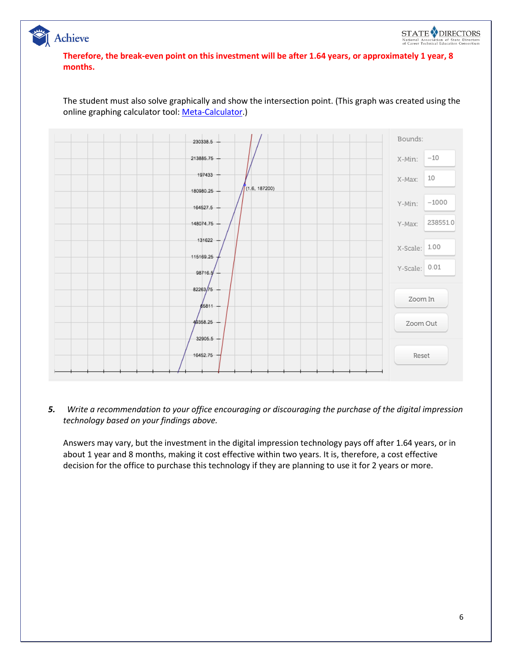



The student must also solve graphically and show the intersection point. (This graph was created using the online graphing calculator tool[: Meta-Calculator.](http://www.meta-calculator.com/online/))

*5. Write a recommendation to your office encouraging or discouraging the purchase of the digital impression technology based on your findings above.* 

Answers may vary, but the investment in the digital impression technology pays off after 1.64 years, or in about 1 year and 8 months, making it cost effective within two years. It is, therefore, a cost effective decision for the office to purchase this technology if they are planning to use it for 2 years or more.

**STATE ODIRECTORS** 

National Association of State Directors<br>of Career Technical Education Consortium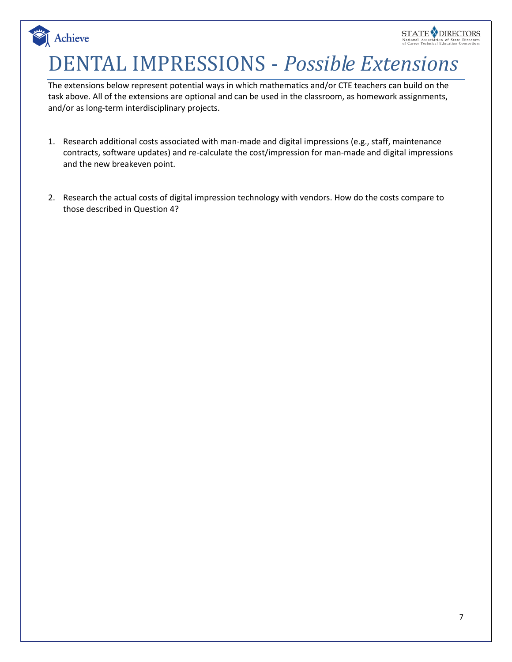# DENTAL IMPRESSIONS - *Possible Extensions*

Achieve

The extensions below represent potential ways in which mathematics and/or CTE teachers can build on the task above. All of the extensions are optional and can be used in the classroom, as homework assignments, and/or as long-term interdisciplinary projects.

- 1. Research additional costs associated with man-made and digital impressions (e.g., staff, maintenance contracts, software updates) and re-calculate the cost/impression for man-made and digital impressions and the new breakeven point.
- 2. Research the actual costs of digital impression technology with vendors. How do the costs compare to those described in Question 4?

**STATE VDIRECTORS**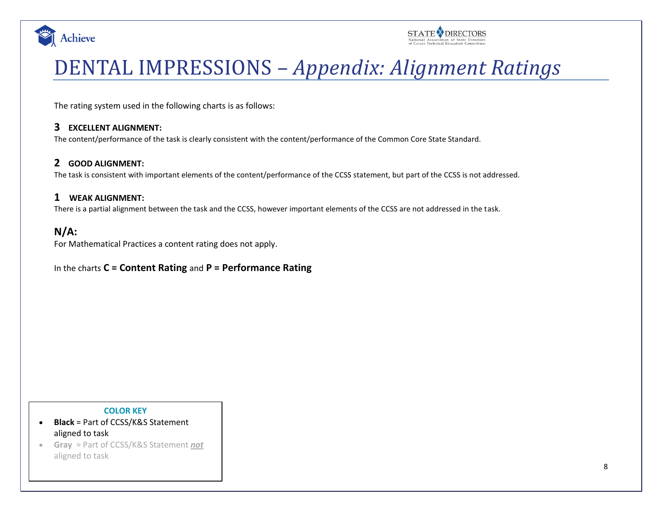



# DENTAL IMPRESSIONS – *Appendix: Alignment Ratings*

The rating system used in the following charts is as follows:

## **3 EXCELLENT ALIGNMENT:**

The content/performance of the task is clearly consistent with the content/performance of the Common Core State Standard.

## **2 GOOD ALIGNMENT:**

The task is consistent with important elements of the content/performance of the CCSS statement, but part of the CCSS is not addressed.

### **1 WEAK ALIGNMENT:**

There is a partial alignment between the task and the CCSS, however important elements of the CCSS are not addressed in the task.

# **N/A:**

For Mathematical Practices a content rating does not apply.

## In the charts **C = Content Rating** and **P = Performance Rating**

#### **COLOR KEY**

- **Black** = Part of CCSS/K&S Statement aligned to task
- **Gray** = Part of CCSS/K&S Statement *not* aligned to task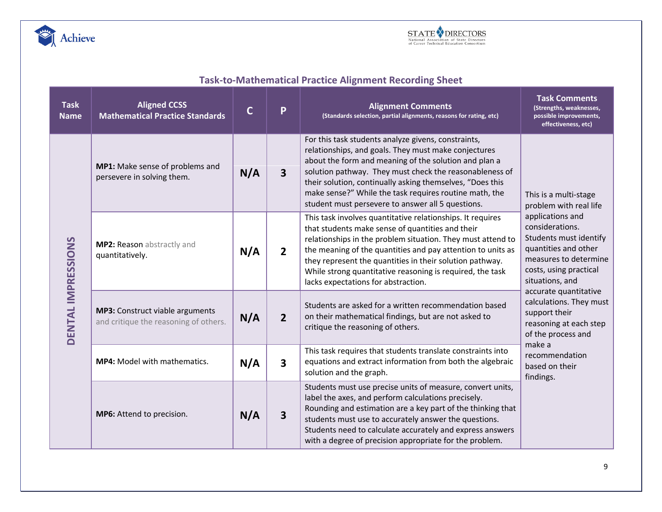



# **Task-to-Mathematical Practice Alignment Recording Sheet**

| <b>Task</b><br><b>Name</b> | <b>Aligned CCSS</b><br><b>Mathematical Practice Standards</b>            | $\mathbf C$ | P                       | <b>Alignment Comments</b><br>(Standards selection, partial alignments, reasons for rating, etc)                                                                                                                                                                                                                                                                                                              | <b>Task Comments</b><br>(Strengths, weaknesses,<br>possible improvements,<br>effectiveness, etc)                                                                                                                                                                                                                                                                                               |
|----------------------------|--------------------------------------------------------------------------|-------------|-------------------------|--------------------------------------------------------------------------------------------------------------------------------------------------------------------------------------------------------------------------------------------------------------------------------------------------------------------------------------------------------------------------------------------------------------|------------------------------------------------------------------------------------------------------------------------------------------------------------------------------------------------------------------------------------------------------------------------------------------------------------------------------------------------------------------------------------------------|
| <b>DENTAL IMPRESSIONS</b>  | MP1: Make sense of problems and<br>persevere in solving them.            | N/A         | $\overline{\mathbf{3}}$ | For this task students analyze givens, constraints,<br>relationships, and goals. They must make conjectures<br>about the form and meaning of the solution and plan a<br>solution pathway. They must check the reasonableness of<br>their solution, continually asking themselves, "Does this<br>make sense?" While the task requires routine math, the<br>student must persevere to answer all 5 questions.  | This is a multi-stage<br>problem with real life<br>applications and<br>considerations.<br>Students must identify<br>quantities and other<br>measures to determine<br>costs, using practical<br>situations, and<br>accurate quantitative<br>calculations. They must<br>support their<br>reasoning at each step<br>of the process and<br>make a<br>recommendation<br>based on their<br>findings. |
|                            | MP2: Reason abstractly and<br>quantitatively.                            | N/A         | 2 <sup>1</sup>          | This task involves quantitative relationships. It requires<br>that students make sense of quantities and their<br>relationships in the problem situation. They must attend to<br>the meaning of the quantities and pay attention to units as<br>they represent the quantities in their solution pathway.<br>While strong quantitative reasoning is required, the task<br>lacks expectations for abstraction. |                                                                                                                                                                                                                                                                                                                                                                                                |
|                            | MP3: Construct viable arguments<br>and critique the reasoning of others. | N/A         | $\overline{2}$          | Students are asked for a written recommendation based<br>on their mathematical findings, but are not asked to<br>critique the reasoning of others.                                                                                                                                                                                                                                                           |                                                                                                                                                                                                                                                                                                                                                                                                |
|                            | MP4: Model with mathematics.                                             | N/A         | $\overline{\mathbf{3}}$ | This task requires that students translate constraints into<br>equations and extract information from both the algebraic<br>solution and the graph.                                                                                                                                                                                                                                                          |                                                                                                                                                                                                                                                                                                                                                                                                |
|                            | MP6: Attend to precision.                                                | N/A         | $\overline{\mathbf{3}}$ | Students must use precise units of measure, convert units,<br>label the axes, and perform calculations precisely.<br>Rounding and estimation are a key part of the thinking that<br>students must use to accurately answer the questions.<br>Students need to calculate accurately and express answers<br>with a degree of precision appropriate for the problem.                                            |                                                                                                                                                                                                                                                                                                                                                                                                |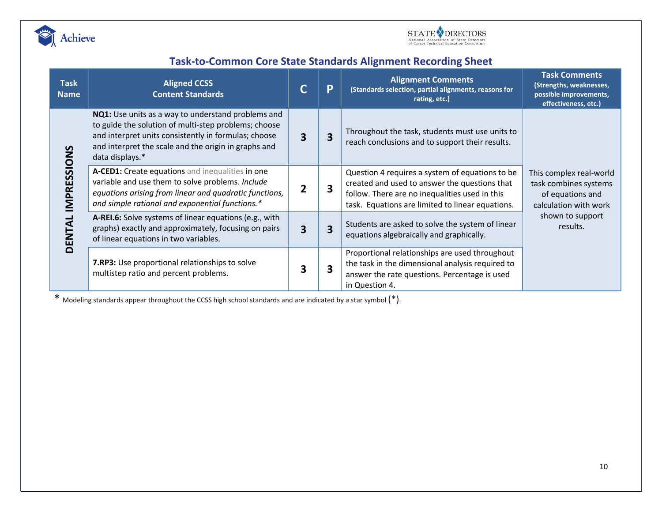



# **Task-to-Common Core State Standards Alignment Recording Sheet**

| <b>Task</b><br><b>Name</b>          | <b>Aligned CCSS</b><br><b>Content Standards</b>                                                                                                                                                                                               |   | P | <b>Alignment Comments</b><br>(Standards selection, partial alignments, reasons for<br>rating, etc.)                                                                                                    | <b>Task Comments</b><br>(Strengths, weaknesses,<br>possible improvements,<br>effectiveness, etc.) |  |
|-------------------------------------|-----------------------------------------------------------------------------------------------------------------------------------------------------------------------------------------------------------------------------------------------|---|---|--------------------------------------------------------------------------------------------------------------------------------------------------------------------------------------------------------|---------------------------------------------------------------------------------------------------|--|
| PRESSIONS<br><b>H</b><br><b>DEN</b> | NQ1: Use units as a way to understand problems and<br>to guide the solution of multi-step problems; choose<br>and interpret units consistently in formulas; choose<br>and interpret the scale and the origin in graphs and<br>data displays.* | 3 | 3 | Throughout the task, students must use units to<br>reach conclusions and to support their results.                                                                                                     |                                                                                                   |  |
|                                     | A-CED1: Create equations and inequalities in one<br>variable and use them to solve problems. Include<br>equations arising from linear and quadratic functions,<br>and simple rational and exponential functions.*                             | 2 | 3 | Question 4 requires a system of equations to be<br>created and used to answer the questions that<br>follow. There are no inequalities used in this<br>task. Equations are limited to linear equations. | This complex real-world<br>task combines systems<br>of equations and<br>calculation with work     |  |
|                                     | A-REI.6: Solve systems of linear equations (e.g., with<br>graphs) exactly and approximately, focusing on pairs<br>of linear equations in two variables.                                                                                       | 3 | 3 | Students are asked to solve the system of linear<br>equations algebraically and graphically.                                                                                                           | shown to support<br>results.                                                                      |  |
|                                     | 7.RP3: Use proportional relationships to solve<br>multistep ratio and percent problems.                                                                                                                                                       | 3 | 3 | Proportional relationships are used throughout<br>the task in the dimensional analysis required to<br>answer the rate questions. Percentage is used<br>in Question 4.                                  |                                                                                                   |  |

\* Modeling standards appear throughout the CCSS high school standards and are indicated by a star symbol (\*).